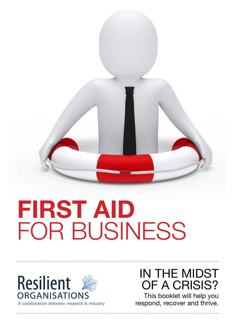

# **FIRST AID**  FOR BUSINESS



collaboration between research & industry

### IN THE MIDST OF A CRISIS?

This booklet will help you respond, recover and thrive.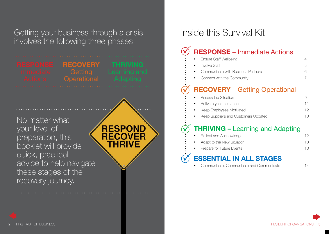Getting your business through a crisis involves the following three phases

**RECOVERY Getting Operational** No matter what **RESPOND** your level of **RECOVER** preparation, this **THRIVE** booklet will provide quick, practical advice to help navigate these stages of the recovery journey.

### Inside this Survival Kit

### **RESPONSE** – Immediate Actions

| • Ensure Staff Wellbeing             |    |
|--------------------------------------|----|
| • Involve Staff                      | h. |
| • Communicate with Business Partners | h  |
| • Connect with the Community         |    |
|                                      |    |

### **RECOVERY** – Getting Operational

| • Assess the Situation               |    |
|--------------------------------------|----|
| • Activate your Insurance            |    |
| Keep Employees Motivated             | 12 |
| Keep Suppliers and Customers Updated | 13 |
|                                      |    |

### **THRIVING –** Learning and Adapting

| <b>ESSENTIAL IN ALL STAGES</b> |                              |    |  |
|--------------------------------|------------------------------|----|--|
|                                | • Prepare for Future Events  | 13 |  |
|                                | • Adapt to the New Situation | 13 |  |
|                                | • Reflect and Acknowledge    | 12 |  |

• Communicate, Communicate and Communicate 14

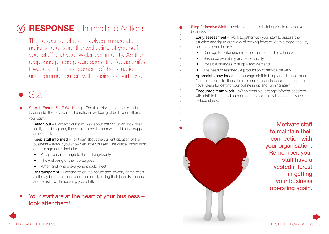### **RESPONSE** – Immediate Actions

The response phase involves immediate actions to ensure the wellbeing of yourself, your staff and your wider community. As the response phase progresses, the focus shifts towards initial assessment of the situation and communication with business partners.

### **Staff**

Step 1: Ensure Staff Wellbeing – The first priority after the crisis is to consider the physical and emotional wellbeing of both yourself and your staff.

Reach out – Contact your staff. Ask about their situation, how their family are doing and, if possible, provide them with additional support as needed.

Keep staff informed – Tell them about the current situation of the business – even if you know very little yourself. The critical information at this stage could include:

- Any physical damage to the building/facility
- The wellbeing of their colleagues
- When and where everyone should meet.

Be transparent – Depending on the nature and severity of the crisis, staff may be concerned about potentially losing their jobs. Be honest and realistic while updating your staff.

### Your staff are at the heart of your business – look after them!

Step 2: Involve Staff – Involve your staff in helping you to recover your business.

Early assessment – Work together with your staff to assess the situation and figure out ways of moving forward. At this stage, the key points to consider are:

- Damage to buildings, critical equipment and machinery
- Resource availability and accessibility
- Possible changes in supply and demand
- The need to reschedule production or service delivery

Appreciate new ideas – Encourage staff to bring and discuss ideas. Often in these situations, intuition and group discussion can lead to novel ideas for getting your business up and running again.

Encourage team work – When possible, arrange informal sessions with staff to listen and support each other. This will create unity and reduce stress.



Motivate staff to maintain their connection with your organisation. Remember, your staff have a vested interest in getting your business operating again.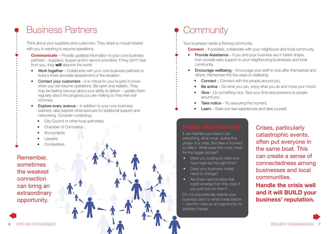### Business Partners

Think about your suppliers and customers. They share a mutual interest with you in wanting to resume operations.

**Communicate** – Provide updated information to your core business partners – suppliers, buyers and/or service providers. If they don't hear from you, they **will** assume the worst.

- Work together Collaborate with your core business partners to build a more accurate assessment of the situation.
- **Contact your customers**  $-$  It is critical for your buyers to know when you will resume operations. Be open and realistic. They may be feeling nervous about your ability to deliver – update them regularly about the progress you are making so they feel well informed.
- **Explore every avenue**  $-$  In addition to your core business partners, also explore other avenues for additional support and networking. Consider contacting:
	- City Council or other local authorities
	- Chamber of Commerce
	- Accountants
	- **Lawyers**
- Competitors

Remember, sometimes the weakest connection can bring an extraordinary opportunity.

## **Community**

Your business needs a thriving community.

- **Connect** If possible, collaborate with your neighbours and local community.
- **Provide Assistance** If you and your business are in better shape, then provide early support to your neighbouring businesses and local community.
- **Encourage wellbeing** Encourage your staff to look after themselves and others. Remember the five ways to wellbeing:
	- **Connect** Connect with the people around you.
	- Be active Do what you can, enjoy what you do and move your mood.
	- Give Do something nice. Give your time and presence to people around you.
	- **Take notice** Try savouring the moment.
	- **Learn** Seek out new experiences and dare vourself.

It can feel like you need to do everything, all at once, during this phase of a crisis. But take a moment to reflect. What does this crisis mean for the bigger picture?

- Were you looking to retire and now might be the right time?
- Does your business model need to change?
- Are there opportunities that might emerge from this crisis if you just look for them?

Do not automatically restore your business back to what it was before – use this crisis as an opportunity for positive change.

Crises, particularly catastrophic events, often put everyone in the same boat. This can create a sense of connectedness among businesses and local communities.

**Handle the crisis well and it will BUILD your business' reputation.**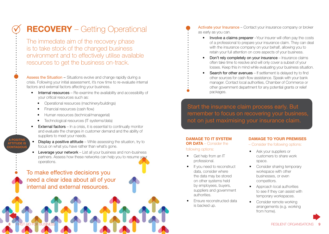### **RECOVERY** – Getting Operational

The immediate aim of the recovery phase is to take stock of the changed business environment and to effectively utilise available resources to get the business on-track.

Assess the Situation – Situations evolve and change rapidly during a crisis. Following your initial assessment, it's now time to re-evaluate internal factors and external factors affecting your business.

- Internal resources Re-examine the availability and accessibility of your critical resources such as:
	- Operational resources (machinery/buildings)
	- Financial resources (cash flow)

**A POSITIVE ATTITUDE IS CONTAGIOUS**

- Human resources (technical/managerial)
- Technological resources (IT systems/data)
- **External factors** In a crisis, it is essential to continually monitor and evaluate the changes in customer demand and the ability of suppliers to meet your needs.
- Display a positive attitude While assessing the situation, try to focus on what you have rather than what's gone.
- **Leverage your network**  $-$  List all your business and non-business partners. Assess how these networks can help you to resume your operations.

To make effective decisions you need a clear idea about all of your internal and external resources.



Activate your Insurance – Contact your insurance company or broker as early as you can.

- Involve a claims preparer –Your insurer will often pay the costs of a professional to prepare your insurance claim. They can deal with the insurance company on your behalf, allowing you to retain your full attention on core aspects of your business.
- Don't rely completely on your insurance Insurance claims often take time to resolve and will only cover a subset of your losses. Keep this in mind while evaluating your business situation.
- Search for other avenues If settlement is delayed try to find other sources for cash-flow assistance. Speak with your bank manager. Contact local authorities, Chamber of Commerce or other government department for any potential grants or relief packages.

Start the insurance claim process early. But remember to focus on recovering your business, not on just maximising your insurance claim.

#### **DAMAGE TO IT SYSTEM**

**OR DATA** – Consider the following options:

- Get help from an IT professional.
- If you need to reconstruct data, consider where the data may be stored on other systems held by employees, buyers, suppliers and government authorities.
- Ensure reconstructed data is backed up.

#### **DAMAGE TO YOUR PREMISES**

– Consider the following options:

- Ask your suppliers or customers to share work space.
- Consider sharing temporary workspace with other businesses, or even competitors.
- Approach local authorities to see if they can assist with temporary workspaces.
- Consider remote working arrangements (e.g. working from home).

**RESILIENT ORGANISATIONS 9**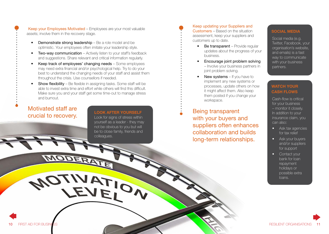- **Demonstrate strong leadership** Be a role model and be optimistic. Your employees often imitate your leadership style.
- Two-way communication Actively listen to your staff's feedback and suggestions. Share relevant and critical information regularly.
- Keep track of employees' changing needs Some employees may need extra financial and/or psychological help. Try to do your best to understand the changing needs of your staff and assist them throughout the crisis. Use counsellors if needed.
- Show flexibility Be flexible in assigning tasks. Some staff will be able to invest extra time and effort while others will find this difficult. Make sure you and your staff get some time-out to manage stress and burnout.

1 E/I<br>1 IV R

#### Motivated staff are crucial to recovery.

**LOOK AFTER YOURSELF** Look for signs of stress within yourself as a leader - they may not be obvious to you but will be to close family, friends and

colleagues.

#### Keep updating your Suppliers and Customers – Based on the situation

- assessment, keep your suppliers and customers up to date.
	- Be transparent Provide regular updates about the progress of your business.
	- Encourage joint problem solving – Involve your business partners in joint problem solving.
	- New systems If you have to implement any new systems or processes, update others on how it might affect them. Also keep them posted if you change your workspace.

Being transparent with your buyers and suppliers often enhances collaboration and builds long-term relationships.

#### **SOCIAL MEDIA**

Social media (e.g. Twitter, Facebook, your organisation's website, and emails) is a fast way to communicate with your business partners.

#### **WATCH YOUR CASH FLOWS**

Cash-flow is critical for your business – monitor it closely. In addition to your insurance claim, you can also:

- Ask tax agencies for tax relief
- Ask your buyers and/or suppliers for support
- Contact your bank for loan repayment holidays or possible extra loans.

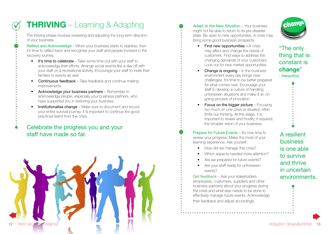### **THRIVING** – Learning & Adapting

The thriving phase involves reviewing and adjusting the long-term direction of your business.

Reflect and Acknowledge – When your business starts to stabilise, then it's time to reflect back and recognise your staff and people involved in the recovery journey.

- It's time to celebrate Take some time-out with your staff to acknowledge their efforts. Arrange social events like a day off with your staff on a recreational activity. Encourage your staff to invite their families to events as well.
- Continuous feedback Take feedback and continue making improvements.
- Acknowledge your business partners Remember to acknowledge people, especially your business partners, who have supported you in restoring your business.
- Institutionalise change Make sure to document and record your entire survival journey. It is important to continue the good practices learnt from the crisis.

#### Celebrate the progress you and your staff have made so far.



Adapt to the New Situation – Your business might not be able to return to its pre-disaster state. Be open to new opportunities. A crisis may bring some good business prospects.



"The only thing that is constant is

**change**" - Heraclitus

- **Find new opportunities A crisis** may affect and change the needs of customers. Find ways to address the changing demands of your customers. Look out for new market opportunities.
- **Change is ongoing** In the business environment every day brings new challenges. It's time to be better prepared for what comes next. Encourage your staff to develop a culture of handling unforeseen situations and make it an ongoing process of innovation.
- **Focus on the bigger picture** Focusing too much on one crisis or situation often limits our thinking. At this stage, it is important to review and modify, if required, the broader vision of your business.

**Prepare for Future Events – It's now time to** review your progress. Make the most of your learning experience. Ask yourself;

- How did we manage this crisis?
- Which aspects needed more attention?
- Are we prepared for future events?
- Are your staff ready for unforeseen events?

Get feedback – Ask your stakeholders (employees, customers, suppliers and other business partners) about your progress during the crisis and what else needs to be done to effectively manage future events. Acknowledge their feedback and adjust accordingly.

A resilient business is one able to survive and thrive in uncertain environments.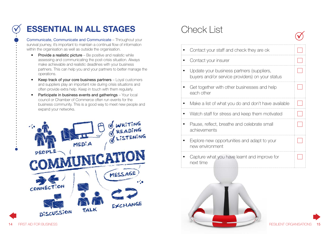### **ESSENTIAL IN ALL STAGES**

Communicate, Communicate and Communicate – Throughout your survival journey, it's important to maintain a continual flow of information within the organisation as well as outside the organisation.

- Provide a realistic picture Be positive and realistic while assessing and communicating the post-crisis situation. Always make achievable and realistic deadlines with your business partners. This can help you and your partners to better manage the operations.
- Keep track of your core business partners  $-\sqrt{\frac{1}{2}}$  customers and suppliers play an important role during crisis situations and often provide extra help. Keep in touch with them regularly.
- Participate in business events and gatherings Your local council or Chamber of Commerce often run events for the business community. This is a good way to meet new people and expand your networks.



### Check List

| Contact your staff and check they are ok                                                     |  |
|----------------------------------------------------------------------------------------------|--|
| Contact your insurer                                                                         |  |
| Update your business partners (suppliers,<br>buyers and/or service providers) on your status |  |
| Get together with other businesses and help<br>each other                                    |  |
| Make a list of what you do and don't have available                                          |  |
| Watch staff for stress and keep them motivated                                               |  |
| Pause, reflect, breathe and celebrate small<br>achievements                                  |  |
| Explore new opportunities and adapt to your<br>new environment                               |  |
| Capture what you have learnt and improve for<br>next time                                    |  |